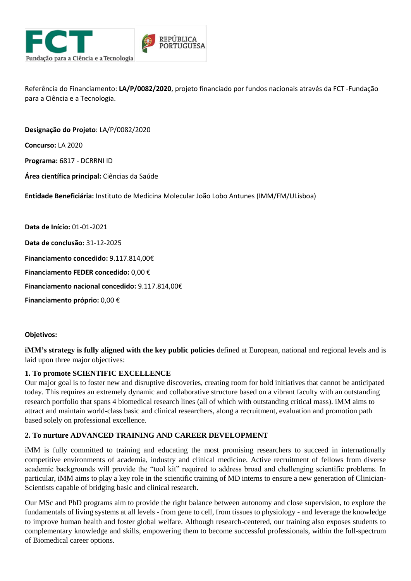

Referência do Financiamento: **LA/P/0082/2020**, projeto financiado por fundos nacionais através da FCT -Fundação para a Ciência e a Tecnologia.

**Concurso:** LA 2020 **Programa:** 6817 - DCRRNI ID **Área científica principal:** Ciências da Saúde **Entidade Beneficiária:** Instituto de Medicina Molecular João Lobo Antunes (IMM/FM/ULisboa) **Data de Início:** 01-01-2021 **Data de conclusão:** 31-12-2025

**Financiamento concedido:** 9.117.814,00€

**Designação do Projeto**: LA/P/0082/2020

**Financiamento FEDER concedido:** 0,00 €

**Financiamento nacional concedido:** 9.117.814,00€

**Financiamento próprio:** 0,00 €

## **Objetivos:**

**iMM's strategy is fully aligned with the key public policies** defined at European, national and regional levels and is laid upon three major objectives:

## **1. To promote SCIENTIFIC EXCELLENCE**

Our major goal is to foster new and disruptive discoveries, creating room for bold initiatives that cannot be anticipated today. This requires an extremely dynamic and collaborative structure based on a vibrant faculty with an outstanding research portfolio that spans 4 biomedical research lines (all of which with outstanding critical mass). iMM aims to attract and maintain world-class basic and clinical researchers, along a recruitment, evaluation and promotion path based solely on professional excellence.

## **2. To nurture ADVANCED TRAINING AND CAREER DEVELOPMENT**

iMM is fully committed to training and educating the most promising researchers to succeed in internationally competitive environments of academia, industry and clinical medicine. Active recruitment of fellows from diverse academic backgrounds will provide the "tool kit" required to address broad and challenging scientific problems. In particular, iMM aims to play a key role in the scientific training of MD interns to ensure a new generation of Clinician-Scientists capable of bridging basic and clinical research.

Our MSc and PhD programs aim to provide the right balance between autonomy and close supervision, to explore the fundamentals of living systems at all levels - from gene to cell, from tissues to physiology - and leverage the knowledge to improve human health and foster global welfare. Although research-centered, our training also exposes students to complementary knowledge and skills, empowering them to become successful professionals, within the full-spectrum of Biomedical career options.